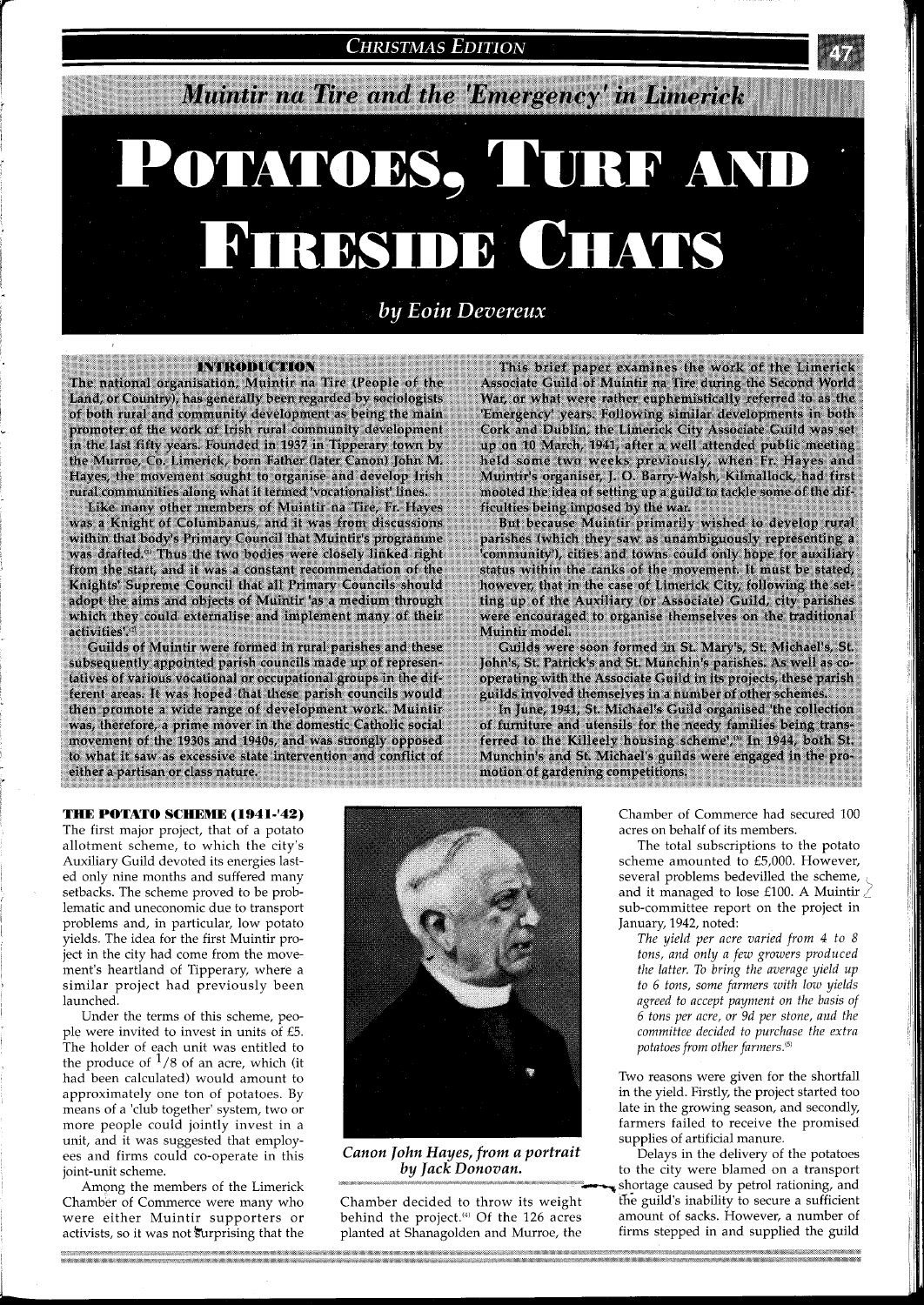**CHRISTMAS EDITION** 

# Muintir na Tire and the 'Emergency' in Limerick

# POTATOES, TURF AND **FIRESIDE CHATS**

by Eoin Devereux

**INTRODUCTION** The national organisation, Muintir na Tire (People of the Land, or Country), has generally been regarded by sociologists of both rural and community development as being the main promoter of the work of Irish rural community development in the last fifty years. Founded in 1937 in Tipperary town by the Murroe, Co. Limerick, born Father (later Canon) John M. Hayes, the movement sought to organise and develop Irish rural communities along what it termed 'vocationalist' lines

Like many other members of Muintir na Tire, Fr. Hayes was a Knight of Columbanus, and it was from discussions within that body's Primary Council that Muintir's programme was drafted.<sup>0</sup> Thus the two bodies were closely linked right from the start, and it was a constant recommendation of the Knights' Supreme Council that all Primary Councils should adopt the aims and objects of Muintir 'as a medium through which they could externalise and implement many of their activities'.

Guilds of Muintir were formed in rural parishes and these subsequently appointed parish councils made up of representatives of various vocational or occupational groups in the different areas. It was hoped that these parish councils would then promote a wide range of development work. Muintir was, therefore, a prime mover in the domestic Catholic social movement of the 1930s and 1940s, and was strongly opposed to what it saw as excessive state intervention and conflict of either a partisan or class nature.

This brief paper examines the work of the Limerick Associate Guild of Muintir na Tire during the Second World War, or what were rather euphemistically referred to as the 'Emergency' years. Following similar developments in both Cork and Dublin, the Limerick City Associate Guild was set up on 10 March, 1941, after a well attended public meeting held some two weeks previously, when Fr. Hayes and<br>Muintir's organiser, J. O. Barry-Walsh, Kilmallock, had first mooted the idea of setting up a guild to tackle some of the difficulties being imposed by the war.

But because Muintir primarily wished to develop rural parishes (which they saw as unambiguously representing a 'community'), cities and towns could only hope for auxiliary status within the ranks of the movement. It must be stated, however, that in the case of Limerick City, following the setting up of the Auxiliary (or Associate) Guild, city parishes were encouraged to organise themselves on the traditional Muintir model.

Guilds were soon formed in St. Mary's, St. Michael's, St. John's, St. Patrick's and St. Munchin's parishes. As well as cooperating with the Associate Guild in its projects, these parish guilds involved themselves in a number of other schemes

In June, 1941, St. Michael's Guild organised 'the collection of furniture and utensils for the needy families being transferred to the Killeely housing scheme'," In 1944, both St. Munchin's and St. Michael's guilds were engaged in the pro-<br>motion of gardening competitions.

## **THE POTATO SCHEME (194 1-'42)**

The first major project, that of a potato allotment scheme, to which the city's Auxiliary Guild devoted its energies lasted only nine months and suffered many setbacks. The scheme proved to be problematic and uneconomic due to transport problems and, in particular, low potato yields. The idea for the first Muintir project in the city had come from the movement's heartland of Tipperary, where a similar project had previously been launched.

Under the terms of this scheme, people were invited to invest in units of £5. The holder of each unit was entitled to the produce of  $\frac{1}{8}$  of an acre, which (it had been calculated) would amount to approximately one ton of potatoes. By means of a 'club together' system, two or more people could jointly invest in a unit, and it was suggested that employees and firms could co-operate in this joint-unit scheme.

Among the members of the Limerick Chamber of Commerce were many who were either Muintir supporters or activists, so it was not surprising that the



*Canon John Hayes, from a portrait* 

Chamber decided to throw its weight behind the project. $4)$  Of the 126 acres planted at Shanagolden and Murroe, the

Chamber of Commerce had secured 100 acres on behalf of its members.

The total subscriptions to the potato scheme amounted to £5,000. However, several problems bedevilled the scheme, and it managed to lose £100. A Muintir *2*  sub-committee report on the project in January, 1942, noted:

*The yield per acre varied from 4 to 8 tons, and only a few growers produced the latter. To bring the average yield up to 6 tons, some farmers with low yields agreed to accept payment on the basis of 6 tons per acre, or 9d per stone, and the committee decided to purchase the extra potatoes from other farmers.(5'* 

Two reasons were given for the shortfall in the yield. Firstly, the project started too late in the growing season, and secondly, farmers failed to receive the promised supplies of artificial manure.

Delays in the delivery of the potatoes to the city were blamed on a transport shortage caused by petrol rationing, and the guild's inability to secure a sufficient amount of sacks. However, a number of firms stepped in and supplied the guild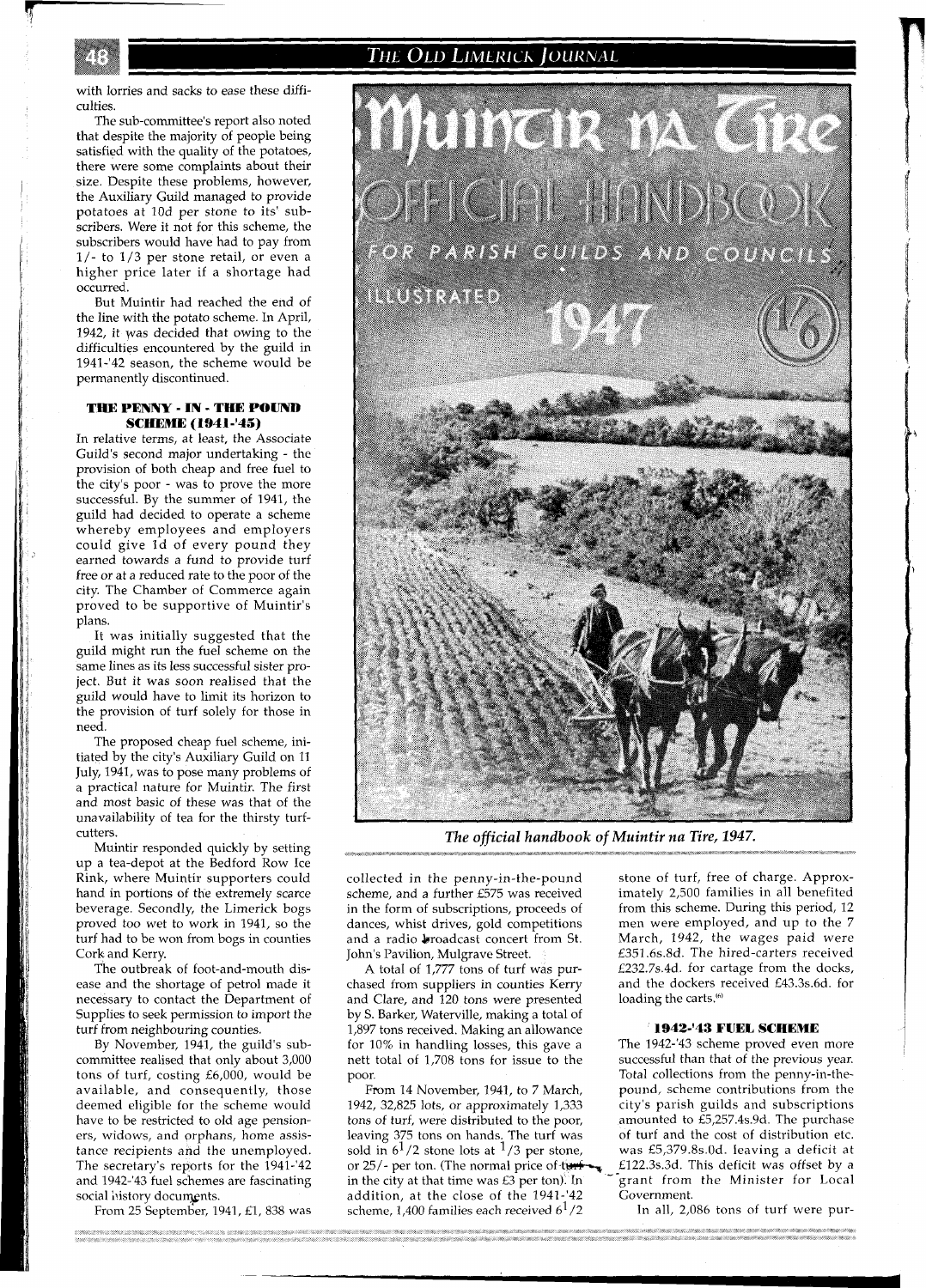The Old Limerick Journal

with lorries and sacks to ease these difficulties.

The sub-committee's report also noted that despite the majority of people being satisfied with the quality of the potatoes, there were some complaints about their size. Despite these problems, however, the Auxiliary Guild managed to provide potatoes at 10d per stone to its' subscribers. Were it not for this scheme, the subscribers would have had to pay from l/- to 1/3 per stone retail, or even a higher price later if a shortage had occurred.

But Muintir had reached the end of the line with the potato scheme. In April, 1942, it yas decided that owing to the difficulties encountered by the guild in 1941-'42 season, the scheme would be permanently discontinued.

# **THE PENNY** - **IN** - **THE POUND SCHEME (1941-'45)**

In relative terms, at least, the Associate Guild's second major undertaking - the provision of both cheap and free fuel to the city's poor - was to prove the more successful. By the summer of 1941, the guild had decided to operate a scheme whereby employees and employers could give Id of every pound they earned towards a fund to provide turf free or at a reduced rate to the poor of the city. The Chamber of Commerce again proved to be supportive of Muintir's plans.

It was initially suggested that the guild might run the fuel scheme on the same lines as its less successful sister project. But it was soon realised that the guild would have to limit its horizon to the provision of turf solely for those in need.

The proposed cheap fuel scheme, initiated by the city's Auxiliary Guild on 11 July, 1941, was to pose many problems of a practical nature for Muintir. The first and most basic of these was that of the unavailability of tea for the thirsty turfcutters.

Muintir responded quickly by setting up a tea-depot at the Bedford Row Ice Rink, where Muintir supporters could hand in portions of the extremely scarce beverage. Secondly, the Limerick bogs proved too wet to work in 1941, so the turf had to be won from bogs in counties Cork and Kerry.

The outbreak of foot-and-mouth disease and the shortage of petrol made it necessary to contact the Department of Supplies to seek permission to import the turf from neighbouring counties.

By November, 1941, the guild's subcommittee realised that only about 3,000 tons of turf, costing £6,000, would be available, and consequently, those deemed eligible for the scheme would have to be restricted to old age pensioners, widows, and orphans, home assistance recipients and the unemployed. The secretary's reports for the 1941-'42 and 1942-'43 fuel schemes are fascinating social history documents.

From 25 September, 1941, £1, 838 was



*The official handbook* of *Muintir na Tire, 1947.* 

collected in the penny-in-the-pound stone of turf, free of charge. Approx-<br>scheme, and a further £575 was received imately 2,500 families in all benefited in the form of subscriptions, proceeds of dances, whist drives, gold competitions men were employed, and up to the 7 and a radio broadcast concert from St. March, 1942, the wages paid were and a radio broadcast concert from St.

A total of 1,777 tons of turf was pur-<br>chased from suppliers in counties Kerry and Clare, and 120 tons were presented by S. Barker, Waterville, making a total of 1,897 tons received. Making an allowance **1942-'43 FUEL SCHEME**  for  $10\%$  in handling losses, this gave a

1942, 32,825 lots, or approximately 1,333 city's parish guilds and subscriptions tons of turf, were distributed to the poor, amounted to £5,257.4s.9d. The purchase tons of turf, were distributed to the poor, amounted to £5,257.4s.9d. The purchase leaving 375 tons on hands. The turf was of turf and the cost of distribution etc. leaving 375 tons on hands. The turf was of turf and the cost of distribution etc. sold in  $6^{1}/2$  stone lots at  $^{1}/3$  per stone, was £5,379.8s.0d. leaving a deficit at or 25/- per ton. (The normal price of time  $\sim$  £122.3s.3d. This deficit was offset by a in the city at that time was  $E3$  per ton). In  $\frac{1}{2}$  grant from the Minister for Local addition, at the close of the 1941-42 Government. addition, at the close of the 1941-'42 Government.<br>
scheme, 1,400 families each received  $6^{1}/2$  In all, 2,086 tons of turf were purscheme, 1,400 families each received  $6<sup>1</sup>/2$ 

imately 2,500 families in all benefited<br>from this scheme. During this period, 12 John's Pavilion, Mulgrave Street.  $\frac{1}{2}$  E351.6s.8d. The hired-carters received A total of 1,777 tons of turf was pur-<br>E232.7s.4d. for cartage from the docks, and the dockers received £43.3s.6d. for loading the carts.<sup> $\omega$ </sup>

nett total of 1,708 tons for issue to the successful than that of the previous year.<br>Total collections from the penny-in-the-Total collections from the penny-in-the-From 14 November, 1941, to 7 March, pound, scheme contributions from the Frame pound, scheme contributions from the Pa